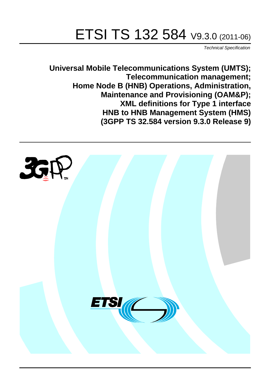# ETSI TS 132 584 V9.3.0 (2011-06)

*Technical Specification*

**Universal Mobile Telecommunications System (UMTS); Telecommunication management; Home Node B (HNB) Operations, Administration, Maintenance and Provisioning (OAM&P); XML definitions for Type 1 interface HNB to HNB Management System (HMS) (3GPP TS 32.584 version 9.3.0 Release 9)**

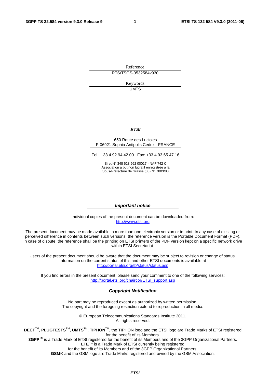Reference RTS/TSGS-0532584v930

> Keywords UMTS

### *ETSI*

### 650 Route des Lucioles F-06921 Sophia Antipolis Cedex - FRANCE

Tel.: +33 4 92 94 42 00 Fax: +33 4 93 65 47 16

Siret N° 348 623 562 00017 - NAF 742 C Association à but non lucratif enregistrée à la Sous-Préfecture de Grasse (06) N° 7803/88

### *Important notice*

Individual copies of the present document can be downloaded from: [http://www.etsi.org](http://www.etsi.org/)

The present document may be made available in more than one electronic version or in print. In any case of existing or perceived difference in contents between such versions, the reference version is the Portable Document Format (PDF). In case of dispute, the reference shall be the printing on ETSI printers of the PDF version kept on a specific network drive within ETSI Secretariat.

Users of the present document should be aware that the document may be subject to revision or change of status. Information on the current status of this and other ETSI documents is available at <http://portal.etsi.org/tb/status/status.asp>

If you find errors in the present document, please send your comment to one of the following services: [http://portal.etsi.org/chaircor/ETSI\\_support.asp](http://portal.etsi.org/chaircor/ETSI_support.asp)

### *Copyright Notification*

No part may be reproduced except as authorized by written permission. The copyright and the foregoing restriction extend to reproduction in all media.

> © European Telecommunications Standards Institute 2011. All rights reserved.

**DECT**TM, **PLUGTESTS**TM, **UMTS**TM, **TIPHON**TM, the TIPHON logo and the ETSI logo are Trade Marks of ETSI registered for the benefit of its Members.

**3GPP**TM is a Trade Mark of ETSI registered for the benefit of its Members and of the 3GPP Organizational Partners. **LTE**™ is a Trade Mark of ETSI currently being registered

for the benefit of its Members and of the 3GPP Organizational Partners.

**GSM**® and the GSM logo are Trade Marks registered and owned by the GSM Association.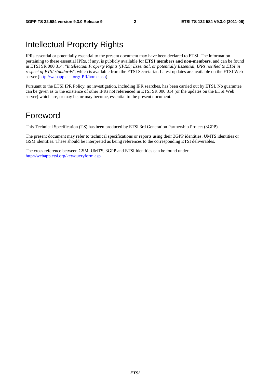## Intellectual Property Rights

IPRs essential or potentially essential to the present document may have been declared to ETSI. The information pertaining to these essential IPRs, if any, is publicly available for **ETSI members and non-members**, and can be found in ETSI SR 000 314: *"Intellectual Property Rights (IPRs); Essential, or potentially Essential, IPRs notified to ETSI in respect of ETSI standards"*, which is available from the ETSI Secretariat. Latest updates are available on the ETSI Web server [\(http://webapp.etsi.org/IPR/home.asp\)](http://webapp.etsi.org/IPR/home.asp).

Pursuant to the ETSI IPR Policy, no investigation, including IPR searches, has been carried out by ETSI. No guarantee can be given as to the existence of other IPRs not referenced in ETSI SR 000 314 (or the updates on the ETSI Web server) which are, or may be, or may become, essential to the present document.

### Foreword

This Technical Specification (TS) has been produced by ETSI 3rd Generation Partnership Project (3GPP).

The present document may refer to technical specifications or reports using their 3GPP identities, UMTS identities or GSM identities. These should be interpreted as being references to the corresponding ETSI deliverables.

The cross reference between GSM, UMTS, 3GPP and ETSI identities can be found under [http://webapp.etsi.org/key/queryform.asp.](http://webapp.etsi.org/key/queryform.asp)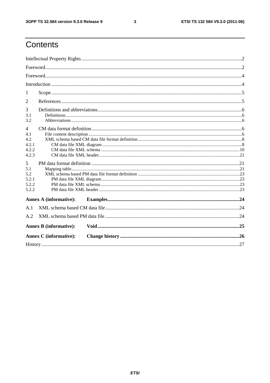$\mathbf{3}$ 

## Contents

| 1              |                               |  |  |  |  |  |
|----------------|-------------------------------|--|--|--|--|--|
| 2              |                               |  |  |  |  |  |
| 3              |                               |  |  |  |  |  |
| 3.1<br>3.2     |                               |  |  |  |  |  |
| $\overline{4}$ |                               |  |  |  |  |  |
| 4.1            |                               |  |  |  |  |  |
| 4.2            |                               |  |  |  |  |  |
| 4.2.1          |                               |  |  |  |  |  |
| 4.2.2          |                               |  |  |  |  |  |
| 4.2.3          |                               |  |  |  |  |  |
| 5              |                               |  |  |  |  |  |
| 5.1            |                               |  |  |  |  |  |
| 5.2            |                               |  |  |  |  |  |
| 5.2.1          |                               |  |  |  |  |  |
| 5.2.2          |                               |  |  |  |  |  |
| 5.2.2          |                               |  |  |  |  |  |
|                | <b>Annex A (informative):</b> |  |  |  |  |  |
| A.1            |                               |  |  |  |  |  |
| A.2            |                               |  |  |  |  |  |
|                | <b>Annex B</b> (informative): |  |  |  |  |  |
|                | <b>Annex C</b> (informative): |  |  |  |  |  |
|                |                               |  |  |  |  |  |
|                |                               |  |  |  |  |  |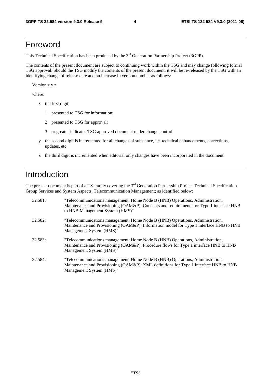## Foreword

This Technical Specification has been produced by the 3<sup>rd</sup> Generation Partnership Project (3GPP).

The contents of the present document are subject to continuing work within the TSG and may change following formal TSG approval. Should the TSG modify the contents of the present document, it will be re-released by the TSG with an identifying change of release date and an increase in version number as follows:

Version x.y.z

where:

- x the first digit:
	- 1 presented to TSG for information;
	- 2 presented to TSG for approval;
	- 3 or greater indicates TSG approved document under change control.
- y the second digit is incremented for all changes of substance, i.e. technical enhancements, corrections, updates, etc.
- z the third digit is incremented when editorial only changes have been incorporated in the document.

## Introduction

The present document is part of a TS-family covering the 3<sup>rd</sup> Generation Partnership Project Technical Specification Group Services and System Aspects, Telecommunication Management; as identified below:

| 32.581: | "Telecommunications management; Home Node B (HNB) Operations, Administration,<br>Maintenance and Provisioning (OAM&P); Concepts and requirements for Type 1 interface HNB<br>to HNB Management System (HMS)" |
|---------|--------------------------------------------------------------------------------------------------------------------------------------------------------------------------------------------------------------|
| 32.582: | "Telecommunications management; Home Node B (HNB) Operations, Administration,<br>Maintenance and Provisioning (OAM&P); Information model for Type 1 interface HNB to HNB<br>Management System (HMS)"         |
| 32.583: | "Telecommunications management; Home Node B (HNB) Operations, Administration,<br>Maintenance and Provisioning (OAM&P); Procedure flows for Type 1 interface HNB to HNB<br>Management System (HMS)"           |
| 32.584: | "Telecommunications management; Home Node B (HNB) Operations, Administration,<br>Maintenance and Provisioning (OAM&P); XML definitions for Type 1 interface HNB to HNB<br>Management System (HMS)"           |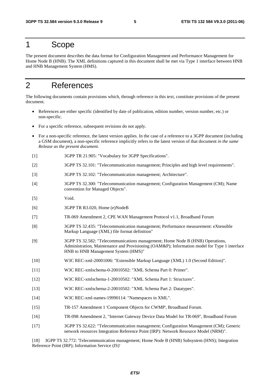### 1 Scope

The present document describes the data format for Configuration Management and Performance Management for Home Node B (HNB). The XML definitions captured in this document shall be met via Type 1 interface between HNB and HNB Management System (HMS).

## 2 References

The following documents contain provisions which, through reference in this text, constitute provisions of the present document.

- References are either specific (identified by date of publication, edition number, version number, etc.) or non-specific.
- For a specific reference, subsequent revisions do not apply.
- For a non-specific reference, the latest version applies. In the case of a reference to a 3GPP document (including a GSM document), a non-specific reference implicitly refers to the latest version of that document *in the same Release as the present document*.
- [1] 3GPP TR 21.905: "Vocabulary for 3GPP Specifications".
- [2] 3GPP TS 32.101: "Telecommunication management; Principles and high level requirements".
- [3] 3GPP TS 32.102: "Telecommunication management; Architecture".
- [4] 3GPP TS 32.300: "Telecommunication management; Configuration Management (CM); Name convention for Managed Objects".
- [5] Void.
- [6] 3GPP TR R3.020, Home (e)NodeB
- [7] TR-069 Amendment 2, CPE WAN Management Protocol v1.1, Broadband Forum
- [8] 3GPP TS 32.435: "Telecommunication management; Performance measurement: eXtensible Markup Language (XML) file format definition"
- [9] 3GPP TS 32.582: "Telecommunications management; Home Node B (HNB) Operations, Administration, Maintenance and Provisioning (OAM&P); Information model for Type 1 interface HNB to HNB Management System (HMS)"
- [10] W3C REC-xml-20001006: "Extensible Markup Language (XML) 1.0 (Second Edition)".
- [11] W3C REC-xmlschema-0-20010502: "XML Schema Part 0: Primer".
- [12] W3C REC-xmlschema-1-20010502: "XML Schema Part 1: Structures".
- [13] W3C REC-xmlschema-2-20010502: "XML Schema Part 2: Datatypes".
- [14] W3C REC-xml-names-19990114: "Namespaces in XML".
- [15] TR-157 Amendment 1 'Component Objects for CWMP', Broadband Forum.
- [16] TR-098 Amendment 2, "Internet Gateway Device Data Model for TR-069", Broadband Forum
- [17] 3GPP TS 32.622: "Telecommunication management; Configuration Management (CM); Generic network resources Integration Reference Point (IRP): Network Resource Model (NRM)".

[18] 3GPP TS 32.772: 'Telecommunication management; Home Node B (HNB) Subsystem (HNS); Integration Reference Point (IRP); Information Service (IS)'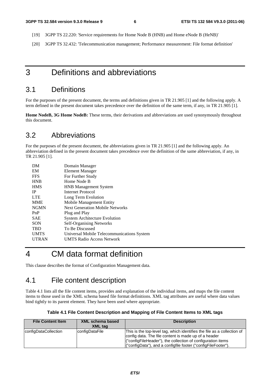- [19] 3GPP TS 22.220: 'Service requirements for Home Node B (HNB) and Home eNode B (HeNB)'
- [20] 3GPP TS 32.432: 'Telecommunication management; Performance measurement: File format definition'

### 3 Definitions and abbreviations

### 3.1 Definitions

For the purposes of the present document, the terms and definitions given in TR 21.905 [1] and the following apply. A term defined in the present document takes precedence over the definition of the same term, if any, in TR 21.905 [1].

**Home NodeB, 3G Home NodeB:** These terms, their derivations and abbreviations are used synonymously throughout this document.

### 3.2 Abbreviations

For the purposes of the present document, the abbreviations given in TR 21.905 [1] and the following apply. An abbreviation defined in the present document takes precedence over the definition of the same abbreviation, if any, in TR 21.905 [1].

| DM           | Domain Manager                             |
|--------------|--------------------------------------------|
| EM           | Element Manager                            |
| <b>FFS</b>   | For Further Study                          |
| <b>HNB</b>   | Home Node B                                |
| <b>HMS</b>   | <b>HNB</b> Management System               |
| <b>IP</b>    | Internet Protocol                          |
| <b>LTE</b>   | Long Term Evolution                        |
| <b>MME</b>   | Mobile Management Entity                   |
| <b>NGMN</b>  | <b>Next Generation Mobile Networks</b>     |
| PnP          | Plug and Play                              |
| <b>SAE</b>   | <b>System Architecture Evolution</b>       |
| <b>SON</b>   | <b>Self-Organising Networks</b>            |
| <b>TBD</b>   | To Be Discussed                            |
| <b>UMTS</b>  | Universal Mobile Telecommunications System |
| <b>UTRAN</b> | <b>UMTS Radio Access Network</b>           |
|              |                                            |

## 4 CM data format definition

This clause describes the format of Configuration Management data.

### 4.1 File content description

Table 4.1 lists all the file content items, provides and explanation of the individual items, and maps the file content items to those used in the XML schema based file format definitions. XML tag attributes are useful where data values bind tightly to its parent element. They have been used where appropriate.

| <b>File Content Item</b> | <b>XML schema based</b><br><b>XML</b> tag | <b>Description</b>                                                                                                                                                                                                                                              |
|--------------------------|-------------------------------------------|-----------------------------------------------------------------------------------------------------------------------------------------------------------------------------------------------------------------------------------------------------------------|
| configDataCollection     | configDataFile                            | This is the top-level tag, which identifies the file as a collection of<br>config data. The file content is made up of a header<br>("configFileHeader"), the collection of configuration items<br>("configData"), and a configfile footer ("configFileFooter"). |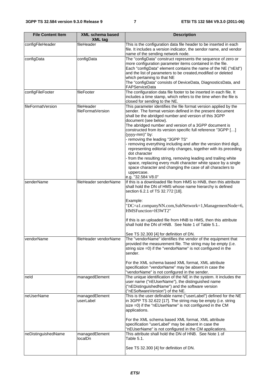| <b>File Content Item</b>                         | <b>XML schema based</b><br><b>XML tag</b> | <b>Description</b>                                                                                                                                                                                                                                                                                                                                                                                                                                                                                                                                                                                                                                                                                                                                                                                |  |  |  |
|--------------------------------------------------|-------------------------------------------|---------------------------------------------------------------------------------------------------------------------------------------------------------------------------------------------------------------------------------------------------------------------------------------------------------------------------------------------------------------------------------------------------------------------------------------------------------------------------------------------------------------------------------------------------------------------------------------------------------------------------------------------------------------------------------------------------------------------------------------------------------------------------------------------------|--|--|--|
| configFileHeader                                 | fileHeader                                | This is the configuration data file header to be inserted in each<br>file. It includes a version indicator, the sendor name, and vendor<br>name of the sending network node.                                                                                                                                                                                                                                                                                                                                                                                                                                                                                                                                                                                                                      |  |  |  |
| configData                                       | configData                                | The "configData" construct represents the sequence of zero or<br>more configuration parameter items contained in the file.<br>Each "configData" element contains the name of the NE ("nEld")<br>and the list of parameters to be created, modified or deleted<br>which pertaining to that NE<br>The "configData" consists of DeviceData, DiagnosticsData, and<br>FAPServiceData                                                                                                                                                                                                                                                                                                                                                                                                                   |  |  |  |
| configFileFooter                                 | fileFooter                                | The configuration data file footer to be inserted in each file. It<br>includes a time stamp, which refers to the time when the file is<br>closed for sending to the NE.                                                                                                                                                                                                                                                                                                                                                                                                                                                                                                                                                                                                                           |  |  |  |
| fileFormatVersion                                | fileHeader<br>fileFormatVersion           | This parameter identifies the file format version applied by the<br>sender. The format version defined in the present document<br>shall be the abridged number and version of this 3GPP<br>document (see below).<br>The abridged number and version of a 3GPP document is<br>constructed from its version specific full reference "3GPP []<br>(yyyy-mm)" by:<br>- removing the leading "3GPP TS"<br>- removing everything including and after the version third digit,<br>representing editorial only changes, together with its preceding<br>dot character<br>from the resulting string, removing leading and trailing white<br>space, replacing every multi character white space by a single<br>space character and changing the case of all characters to<br>uppercase.<br>e.g. "32.584 V8.0" |  |  |  |
| senderName                                       | fileHeader senderName                     | If this is a downloaded file from HMS to HNB, then this attribute<br>shall hold the DN of HMS whose name hierarchy is defined<br>section 6.2.1 of TS 32.772 [18].<br>Example:<br>"DC=a1.companyNN.com,SubNetwork=1,ManagementNode=6,<br>HMSFunction=H3WT2"<br>If this is an uploaded file from HNB to HMS, then this attribute<br>shall hold the DN of HNB. See Note 1 of Table 5.1.<br>See TS 32.300 [4] for definition of DN.                                                                                                                                                                                                                                                                                                                                                                   |  |  |  |
| vendorName<br>neld                               | fileHeader vendorName<br>managedElement   | The "vendorName" identifies the vendor of the equipment that<br>provided the measurement file. The string may be empty (i.e.<br>string size =0) if the "vendorName" is not configured in the<br>sender.<br>For the XML schema based XML format, XML attribute<br>specification "vendorName" may be absent in case the<br>"vendorName" is not configured in the sender.<br>The unique identification of the NE in the system. It includes the                                                                                                                                                                                                                                                                                                                                                      |  |  |  |
|                                                  |                                           | user name ("nEUserName"), the distinguished name<br>("nEDistinguishedName") and the software version<br>("nESoftwareVersion") of the NE.                                                                                                                                                                                                                                                                                                                                                                                                                                                                                                                                                                                                                                                          |  |  |  |
| neUserName<br>managedElement<br>userLabel        |                                           | This is the user definable name ("userLabel") defined for the NE<br>in 3GPP TS 32.622 [17]. The string may be empty (i.e. string<br>size =0) if the "nEUserName" is not configured in the CM<br>applications.<br>For the XML schema based XML format, XML attribute<br>specification "userLabel" may be absent in case the                                                                                                                                                                                                                                                                                                                                                                                                                                                                        |  |  |  |
| neDistinguishedName<br>managedElement<br>localDn |                                           | "nEUserName" is not configured in the CM applications.<br>This attribute shall hold the DN of HNB. See Note 1 of<br>Table 5.1.<br>See TS 32.300 [4] for definition of DN.                                                                                                                                                                                                                                                                                                                                                                                                                                                                                                                                                                                                                         |  |  |  |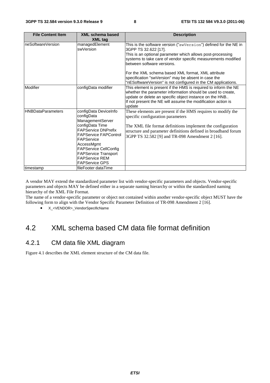| <b>File Content Item</b> | <b>XML schema based</b><br><b>XML tag</b>                                                                                                                                                                                                                                             | <b>Description</b>                                                                                                                                                                                                                                                                                                                                                                                                                  |
|--------------------------|---------------------------------------------------------------------------------------------------------------------------------------------------------------------------------------------------------------------------------------------------------------------------------------|-------------------------------------------------------------------------------------------------------------------------------------------------------------------------------------------------------------------------------------------------------------------------------------------------------------------------------------------------------------------------------------------------------------------------------------|
| neSoftwareVersion        | managedElement<br>swVersion                                                                                                                                                                                                                                                           | This is the software version ("swVersion") defined for the NE in<br>3GPP TS 32.622 [17].<br>This is an optional parameter which allows post-processing<br>systems to take care of vendor specific measurements modified<br>between software versions.<br>For the XML schema based XML format, XML attribute<br>specification "swVersion" may be absent in case the<br>"nESoftwareVersion" is not configured in the CM applications. |
| Modifier                 | configData modifier                                                                                                                                                                                                                                                                   | This element is present if the HMS is required to inform the NE<br>whether the parameter information should be used to create,<br>update or delete an specific object instance on the HNB<br>If not present the NE will assume the modification action is<br>update                                                                                                                                                                 |
| <b>HNBDataParameters</b> | configData DeviceInfo<br>configData<br>ManagementServer<br>configData Time<br><b>FAPService DNPrefix</b><br><b>FAPService FAPControl</b><br>FAPService<br>AccessMgmt<br><b>FAPService CellConfig</b><br><b>FAPService Transport</b><br><b>FAPService REM</b><br><b>FAPService GPS</b> | These elements are present if the HMS requires to modify the<br>specific configuration parameters<br>The XML file format definitions implement the configuration<br>structure and parameter definitions defined in broadband forum<br>3GPP TS 32.582 [9] and TR-098 Amendment 2 [16].                                                                                                                                               |
| timestamp                | fileFooter dataTime                                                                                                                                                                                                                                                                   |                                                                                                                                                                                                                                                                                                                                                                                                                                     |

A vendor MAY extend the standardized parameter list with vendor-specific parameters and objects. Vendor-specific parameters and objects MAY be defined either in a separate naming hierarchy or within the standardized naming hierarchy of the XML File Format.

The name of a vendor-specific parameter or object not contained within another vendor-specific object MUST have the following form to align with the Vendor Specific Parameter Definition of TR-098 Amendment 2 [16].

• X <VENDOR> VendorSpecificName

### 4.2 XML schema based CM data file format definition

### 4.2.1 CM data file XML diagram

Figure 4.1 describes the XML element structure of the CM data file.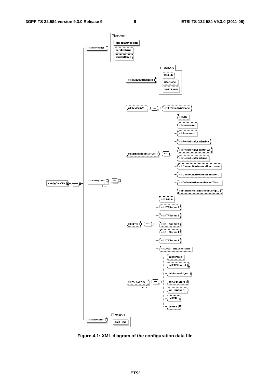

**Figure 4.1: XML diagram of the configuration data file**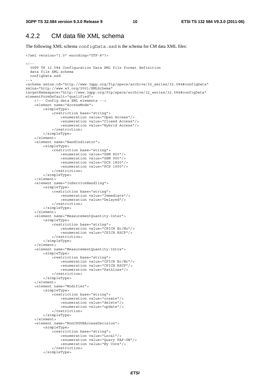### 4.2.2 CM data file XML schema

The following XML schema configData.xsd is the schema for CM data XML files:

```
<?xml version="1.0" encoding="UTF-8"?> 
<! - -
   3GPP TS 32.584 Configuration Data XML file format definition 
   data file XML schema 
  configData.xsd 
--> 
<schema xmlns:cd="http://www.3gpp.org/ftp/specs/archive/32_series/32.584#configData" 
xmlns="http://www.w3.org/2001/XMLSchema" 
targetNamespace="http://www.3gpp.org/ftp/specs/archive/32_series/32.584#configData" 
elementFormDefault="qualified"> 
     <!-- Config data XML elements --> 
     <element name="AccessMode"> 
         <simpleType> 
              <restriction base="string"> 
                  <enumeration value="Open Access"/> 
                  <enumeration value="Closed Access"/> 
                  <enumeration value="Hybrid Access"/> 
              </restriction> 
         </simpleType> 
     </element> 
     <element name="BandIndicator"> 
         <simpleType> 
              <restriction base="string"> 
                  <enumeration value="GSM 850"/> 
                  <enumeration value="GSM 900"/> 
                  <enumeration value="DCS 1800"/> 
                  <enumeration value="PCS 1900"/> 
              </restriction> 
         </simpleType> 
     </element> 
     <element name="InServiceHandling"> 
         <simpleType> 
              <restriction base="string"> 
                  <enumeration value="Immediate"/> 
                  <enumeration value="Delayed"/> 
              </restriction> 
         </simpleType> 
     </element> 
     <element name="MeasurementQuantity-Inter"> 
         <simpleType> 
              <restriction base="string"> 
                  <enumeration value="CPICH Ec/No"/> 
                  <enumeration value="CPICH RSCP"/> 
              </restriction> 
          </simpleType> 
     </element> 
     <element name="MeasurementQuantity-Intra"> 
         <simpleType> 
              <restriction base="string"> 
                  <enumeration value="CPICH Ec/No"/> 
                  <enumeration value="CPICH RSCP"/> 
                  <enumeration value="Pathloss"/> 
              </restriction> 
         </simpleType> 
     </element> 
     <element name="Modifier"> 
         <simpleType> 
              <restriction base="string"> 
                  <enumeration value="create"/> 
                  <enumeration value="delete"/> 
                  <enumeration value="update"/> 
              </restriction> 
          </simpleType> 
     </element> 
     <element name="NonCSGUEAccessDecision"> 
         <simpleType> 
              <restriction base="string"> 
                  <enumeration value="Local"/> 
                  <enumeration value="Query FAP-GW"/> 
                  <enumeration value="By Core"/> 
              </restriction> 
          </simpleType>
```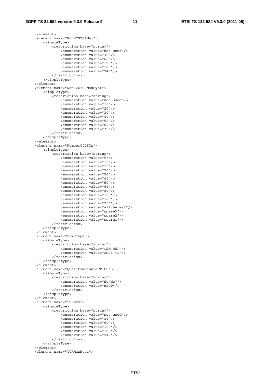### **3GPP TS 32.584 version 9.3.0 Release 9 11 ETSI TS 132 584 V9.3.0 (2011-06)**

```
 </element> 
 <element name="NonHCSTCRMax"> 
     <simpleType> 
         <restriction base="string"> 
              <enumeration value="not used"/> 
              <enumeration value="30"/> 
              <enumeration value="60"/> 
              <enumeration value="120"/> 
              <enumeration value="180"/> 
              <enumeration value="240"/> 
         </restriction> 
     </simpleType> 
 </element> 
 <element name="NonHCSTCRMaxHyst"> 
     <simpleType> 
         <restriction base="string"> 
              <enumeration value="not used"/> 
              <enumeration value="10"/> 
              <enumeration value="20"/> 
              <enumeration value="30"/> 
              <enumeration value="40"/> 
              <enumeration value="50"/> 
              <enumeration value="60"/> 
              <enumeration value="70"/> 
         </restriction> 
     </simpleType> 
 </element> 
 <element name="NumberOfPSCs"> 
     <simpleType> 
         <restriction base="string"> 
              <enumeration value="5"/> 
              <enumeration value="10"/> 
              <enumeration value="15"/> 
              <enumeration value="20"/> 
              <enumeration value="30"/> 
              <enumeration value="40"/> 
              <enumeration value="50"/> 
              <enumeration value="64"/> 
              <enumeration value="80"/> 
              <enumeration value="120"/> 
              <enumeration value="160"/> 
              <enumeration value="256"/> 
              <enumeration value="alltherest"/> 
              <enumeration value="spare3"/> 
              <enumeration value="spare2"/> 
              <enumeration value="spare1"/> 
         </restriction> 
     </simpleType> 
 </element> 
 <element name="PLMNType"> 
     <simpleType> 
         <restriction base="string"> 
              <enumeration value="GSM-MAP"/> 
              <enumeration value="ANSI-41"/> 
         </restriction> 
     </simpleType> 
 </element> 
 <element name="QualityMeasureCPICH"> 
     <simpleType> 
         <restriction base="string"> 
              <enumeration value="Ec/No"/> 
              <enumeration value="RSCP"/> 
         </restriction> 
     </simpleType> 
\epsilon/element>
 <element name="TCRMax"> 
     <simpleType> 
         <restriction base="string"> 
              <enumeration value="not used"/> 
              <enumeration value="30"/> 
              <enumeration value="60"/> 
              <enumeration value="120"/> 
              <enumeration value="180"/> 
              <enumeration value="240"/> 
          </restriction> 
     </simpleType> 
 </element> 
 <element name="TCRMaxHyst">
```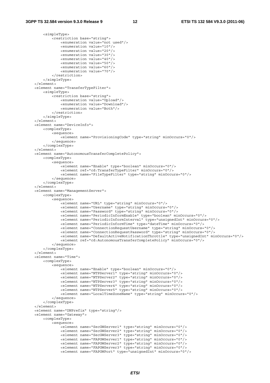<simpleType>

```
 <restriction base="string"> 
                 <enumeration value="not used"/> 
                 <enumeration value="10"/> 
                 <enumeration value="20"/> 
                 <enumeration value="30"/> 
                 <enumeration value="40"/> 
                 <enumeration value="50"/> 
                 <enumeration value="60"/> 
                 <enumeration value="70"/> 
             </restriction> 
         </simpleType> 
    </element> 
    <element name="TransferTypeFilter"> 
         <simpleType> 
             <restriction base="string"> 
                 <enumeration value="Upload"/> 
                 <enumeration value="Download"/> 
                 <enumeration value="Both"/> 
             </restriction> 
         </simpleType> 
    </element> 
    <element name="DeviceInfo"> 
         <complexType> 
             <sequence> 
                 <element name="ProvisioningCode" type="string" minOccurs="0"/> 
             </sequence> 
         </complexType> 
    </element> 
    <element name="AutonomousTransferCompletePolicy"> 
        <complexType> 
             <sequence> 
                .<br><element name="Enable" type="boolean" minOccurs="0"/>
                 <element ref="cd:TransferTypeFilter" minOccurs="0"/> 
                 <element name="FileTypeFilter" type="string" minOccurs="0"/> 
             </sequence> 
         </complexType> 
    </element> 
    <element name="ManagementServer"> 
         <complexType> 
             <sequence> 
                -<br><element name="URL" type="string" minOccurs="0"/>
                 <element name="Username" type="string" minOccurs="0"/> 
                 <element name="Password" type="string" minOccurs="0"/> 
                 <element name="PeriodicInformEnable" type="boolean" minOccurs="0"/> 
                 <element name="PeriodicInformInterval" type="unsignedInt" minOccurs="0"/> 
                 <element name="PeriodicInformTime" type="dateTime" minOccurs="0"/> 
                 <element name="ConnectionRequestUsername" type="string" minOccurs="0"/> 
                 <element name="ConnectionRequestPassword" type="string" minOccurs="0"/> 
                 <element name="DefaultActiveNotificationThrottle" type="unsignedInt" minOccurs="0"/> 
                 <element ref="cd:AutonomousTransferCompletePolicy" minOccurs="0"/> 
             </sequence> 
         </complexType> 
     </element> 
    <element name="Time"> 
        <complexType> 
             <sequence> 
                 <element name="Enable" type="boolean" minOccurs="0"/> 
 <element name="NTPServer1" type="string" minOccurs="0"/> 
 <element name="NTPServer2" type="string" minOccurs="0"/> 
                 <element name="NTPServer3" type="string" minOccurs="0"/> 
                 <element name="NTPServer4" type="string" minOccurs="0"/> 
                 <element name="NTPServer5" type="string" minOccurs="0"/> 
                 <element name="LocalTimeZoneName" type="string" minOccurs="0"/> 
             </sequence> 
         </complexType> 
     </element> 
    <element name="DNPrefix" type="string"/> 
    <element name="Gateway"> 
         <complexType> 
             <sequence> 
                 <element name="SecGWServer1" type="string" minOccurs="0"/> 
                 <element name="SecGWServer2" type="string" minOccurs="0"/> 
 <element name="SecGWServer3" type="string" minOccurs="0"/> 
 <element name="FAPGWServer1" type="string" minOccurs="0"/> 
                 <element name="FAPGWServer2" type="string" minOccurs="0"/> 
                 <element name="FAPGWServer3" type="string" minOccurs="0"/> 
                 <element name="FAPGWPort" type="unsignedInt" minOccurs="0"/>
```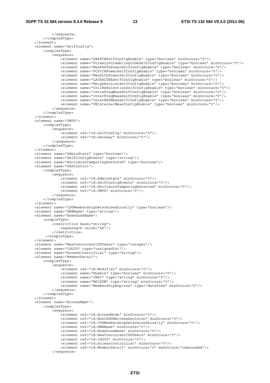```
 </sequence> 
     </complexType> 
 </element> 
 <element name="SelfConfig"> 
     <complexType> 
         <sequence> 
            -<br>-<element name="UARFCNSelfConfigEnable" type="boolean" minOccurs="0"/>
             <element name="PrimaryScramblingCodeSelfConfigEnable" type="boolean" minOccurs="0"/> 
             <element name="MaxFAPTxPowerSelfConfigEnable" type="boolean" minOccurs="0"/> 
              <element name="PCPICHPowerSelfConfigEnable" type="boolean" minOccurs="0"/> 
             <element name="MaxULTxPowerSelfConfigEnable" type="boolean" minOccurs="0"/> 
             <element name="LACRACURASelfConfigEnable" type="boolean" minOccurs="0"/> 
             <element name="NeighborListSelfConfigEnable" type="boolean" minOccurs="0"/> 
              <element name="CellReSelectionSelfConfigEnable" type="boolean" minOccurs="0"/> 
             <element name="IntraFreqMeasSelfConfigEnable" type="boolean" minOccurs="0"/> 
             <element name="InterFreqMeasSelfConfigEnable" type="boolean" minOccurs="0"/> 
             <element name="InterRATMeasSelfConfigEnable" type="boolean" minOccurs="0"/> 
              <element name="UEInternalMeasConfigEnable" type="boolean" minOccurs="0"/> 
         </sequence> 
     </complexType> 
 </element> 
 <element name="UMTS"> 
     <complexType> 
         <sequence> 
            .<br><element ref="cd:SelfConfig" minOccurs="0"/>
              <element ref="cd:Gateway" minOccurs="0"/> 
         </sequence> 
     </complexType> 
 </element> 
 <element name="AdminState" type="boolean"/> 
 <element name="SelfConfigEvents" type="string"/> 
 <element name="EnclosureTamperingDetected" type="boolean"/> 
 <element name="FAPControl"> 
     <complexType> 
         <sequence> 
             <element ref="cd:AdminState" minOccurs="0"/> 
              <element ref="cd:SelfConfigEvents" minOccurs="0"/> 
             <element ref="cd:EnclosureTamperingDetected" minOccurs="0"/> 
             <element ref="cd:UMTS" minOccurs="0"/> 
         </sequence> 
     </complexType> 
 </element> 
 <element name="CSGMembershipDeterminedLocally" type="boolean"/> 
 <element name="HNBName" type="string"/> 
 <element name="HomeZoneName"> 
     <simpleType> 
         <restriction base="string"> 
             <maxLength value="48"/> 
         </restriction> 
      </simpleType> 
 </element> 
 <element name="MaxConcurrentCSGUsers" type="integer"/> 
 <element name="CSGID" type="unsignedInt"/> 
 <element name="AccessControlList" type="string"/> 
 <element name="MemberDetail"> 
     <complexType> 
         <sequence> 
             <element ref="cd:Modifier" minOccurs="0"/> 
              <element name="Enable" type="boolean" minOccurs="0"/> 
             <element name="IMSI" type="string" minOccurs="0"/> 
             <element name="MSISDN" type="string" minOccurs="0"/> 
              <element name="MembershipExpires" type="dateTime" minOccurs="0"/> 
         </sequence> 
     </complexType> 
\epsilon/elements
 <element name="AccessMgmt"> 
     <complexType> 
         <sequence> 
             <element ref="cd:AccessMode" minOccurs="0"/> 
              <element ref="cd:NonCSGUEAccessDecision" minOccurs="0"/> 
              <element ref="cd:CSGMembershipDeterminedLocally" minOccurs="0"/> 
             <element ref="cd:HNBName" minOccurs="0"/> 
             <element ref="cd:HomeZoneName" minOccurs="0"/> 
             <element ref="cd:MaxConcurrentCSGUsers" minOccurs="0"/> 
              <element ref="cd:CSGID" minOccurs="0"/> 
              <element ref="cd:AccessControlList" minOccurs="0"/> 
             <element ref="cd:MemberDetail" minOccurs="0" maxOccurs="unbounded"/> 
         </sequence>
```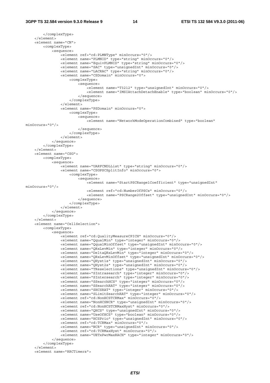```
 </complexType> 
     </element> 
     <element name="CN"> 
         <complexType> 
             <sequence> 
                 <element ref="cd:PLMNType" minOccurs="0"/> 
                  <element name="PLMNID" type="string" minOccurs="0"/> 
                 <element name="EquivPLMNID" type="string" minOccurs="0"/> 
                 <element name="SAC" type="unsignedInt" minOccurs="0"/> 
                  <element name="LACRAC" type="string" minOccurs="0"/> 
                 <element name="CSDomain" minOccurs="0"> 
                      <complexType> 
                          <sequence> 
                              <element name="T3212" type="unsignedInt" minOccurs="0"/> 
                              <element name="IMSIAttachDetachEnable" type="boolean" minOccurs="0"/> 
                          </sequence> 
                      </complexType> 
                  </element> 
                  <element name="PSDomain" minOccurs="0"> 
                      <complexType> 
                          <sequence> 
                              <element name="NetworkModeOperationCombined" type="boolean" 
minOccurs="0"/> 
                          </sequence> 
                      </complexType> 
                 </element> 
             </sequence> 
         </complexType> 
     </element> 
     <element name="CSG"> 
         <complexType> 
             <sequence> 
                .<br><element name="UARFCNDLList" type="string" minOccurs="0"/>
                  <element name="CSGPSCSplitInfo" minOccurs="0"> 
                      <complexType> 
                         <sequence> 
                             -<br><element name="StartPSCRange1Coefficient" type="unsignedInt"
minOccurs="0"/> 
                              <element ref="cd:NumberOfPSCs" minOccurs="0"/> 
                              <element name="PSCRange2Offset" type="unsignedInt" minOccurs="0"/> 
                          </sequence> 
                      </complexType> 
                 </element> 
             </sequence> 
         </complexType> 
     </element> 
     <element name="CellSelection"> 
         <complexType> 
             <sequence> 
                .<br><element ref="cd:QualityMeasureCPICH" minOccurs="0"/>
                  <element name="QqualMin" type="integer" minOccurs="0"/> 
                 <element name="QqualMinOffset" type="unsignedInt" minOccurs="0"/> 
                  <element name="QRxLevMin" type="integer" minOccurs="0"/> 
                  <element name="DeltaQRxLevMin" type="integer" minOccurs="0"/> 
                 <element name="QRxLevMinOffset" type="unsignedInt" minOccurs="0"/> 
 <element name="QHyst1s" type="unsignedInt" minOccurs="0"/> 
 <element name="QHyst2s" type="unsignedInt" minOccurs="0"/> 
                 <element name="TReselections" type="unsignedInt" minOccurs="0"/> 
 <element name="SIntrasearch" type="integer" minOccurs="0"/> 
 <element name="SIntersearch" type="integer" minOccurs="0"/> 
                 <element name="SSearchHCS" type="integer" minOccurs="0"/> 
                  <element name="SSearchRAT" type="integer" minOccurs="0"/> 
                 <element name="SHCSRAT" type="integer" minOccurs="0"/> 
                 <element name="SLimitSearchRAT" type="integer" minOccurs="0"/> 
                 <element ref="cd:NonHCSTCRMax" minOccurs="0"/> 
                 <element name="NonHCSNCR" type="unsignedInt" minOccurs="0"/> 
                  <element ref="cd:NonHCSTCRMaxHyst" minOccurs="0"/> 
                 <element name="QHCS" type="unsignedInt" minOccurs="0"/> 
                 <element name="UseOfHCS" type="boolean" minOccurs="0"/> 
                  <element name="HCSPrio" type="unsignedInt" minOccurs="0"/> 
                  <element ref="cd:TCRMax" minOccurs="0"/> 
                  <element name="NCR" type="unsignedInt" minOccurs="0"/> 
                 <element ref="cd:TCRMaxHyst" minOccurs="0"/> 
                 <element name="UETxPwrMaxRACH" type="integer" minOccurs="0"/> 
             </sequence> 
         </complexType> 
     </element> 
     <element name="RRCTimers">
```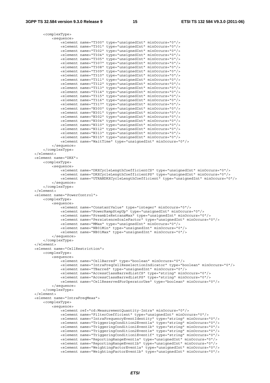```
 <complexType> 
             <sequence> 
                 .<br><element name="T300" type="unsignedInt" minOccurs="0"/>
                  <element name="T301" type="unsignedInt" minOccurs="0"/> 
                  <element name="T302" type="unsignedInt" minOccurs="0"/> 
                  <element name="T304" type="unsignedInt" minOccurs="0"/> 
                  <element name="T305" type="unsignedInt" minOccurs="0"/> 
                  <element name="T307" type="unsignedInt" minOccurs="0"/> 
                  <element name="T308" type="unsignedInt" minOccurs="0"/> 
                  <element name="T309" type="unsignedInt" minOccurs="0"/> 
                  <element name="T310" type="unsignedInt" minOccurs="0"/> 
                  <element name="T311" type="unsignedInt" minOccurs="0"/> 
                  <element name="T312" type="unsignedInt" minOccurs="0"/> 
                  <element name="T313" type="unsignedInt" minOccurs="0"/> 
                  <element name="T314" type="unsignedInt" minOccurs="0"/> 
                  <element name="T315" type="unsignedInt" minOccurs="0"/> 
                  <element name="T316" type="unsignedInt" minOccurs="0"/> 
                  <element name="T317" type="unsignedInt" minOccurs="0"/> 
                  <element name="N300" type="unsignedInt" minOccurs="0"/> 
                  <element name="N301" type="unsignedInt" minOccurs="0"/> 
                  <element name="N302" type="unsignedInt" minOccurs="0"/> 
                  <element name="N304" type="unsignedInt" minOccurs="0"/> 
                  <element name="N310" type="unsignedInt" minOccurs="0"/> 
                  <element name="N312" type="unsignedInt" minOccurs="0"/> 
                  <element name="N313" type="unsignedInt" minOccurs="0"/> 
                  <element name="N315" type="unsignedInt" minOccurs="0"/> 
                  <element name="WaitTime" type="unsignedInt" minOccurs="0"/> 
             </sequence> 
         </complexType> 
   \geq/element\sim <element name="DRX"> 
         <complexType> 
             <sequence> 
                  <element name="DRXCycleLengthCoefficientCS" type="unsignedInt" minOccurs="0"/> 
                  <element name="DRXCycleLengthCoefficientPS" type="unsignedInt" minOccurs="0"/> 
                  <element name="UTRANDRXCycleLengthCoefficient" type="unsignedInt" minOccurs="0"/> 
             </sequence> 
         </complexType> 
     </element> 
     <element name="PowerControl"> 
         <complexType> 
             <sequence> 
                  <element name="ConstantValue" type="integer" minOccurs="0"/> 
                  <element name="PowerRampStepUp" type="unsignedInt" minOccurs="0"/> 
                  <element name="PreambleRetransMax" type="unsignedInt" minOccurs="0"/> 
                  <element name="PersistenceScaleFactor" type="unsignedInt" minOccurs="0"/> 
                  <element name="MMax" type="unsignedInt" minOccurs="0"/> 
                  <element name="NB01Min" type="unsignedInt" minOccurs="0"/> 
                  <element name="NB01Max" type="unsignedInt" minOccurs="0"/> 
             </sequence> 
         </complexType> 
     </element> 
     <element name="CellRestriction"> 
         <complexType> 
             <sequence> 
                  <element name="CellBarred" type="boolean" minOccurs="0"/> 
                  <element name="IntraFreqCellReselectionIndicator" type="boolean" minOccurs="0"/> 
                  <element name="TBarred" type="unsignedInt" minOccurs="0"/> 
                  <element name="AccessClassBarredListCS" type="string" minOccurs="0"/> 
                  <element name="AccessClassBarredListPS" type="string" minOccurs="0"/> 
                  <element name="CellReservedForOperatorUse" type="boolean" minOccurs="0"/> 
             </sequence> 
         </complexType> 
    </element> 
     <element name="IntraFreqMeas"> 
         <complexType> 
             <sequence> 
                 <element ref="cd:MeasurementQuantity-Intra" minOccurs="0"/> 
                  <element name="FilterCoefficient" type="unsignedInt" minOccurs="0"/> 
                  <element name="IntraFrequencyEventIdentity" type="string" minOccurs="0"/> 
                  <element name="TriggeringCondition2Event1a" type="string" minOccurs="0"/> 
                  <element name="TriggeringCondition1Event1b" type="string" minOccurs="0"/> 
                  <element name="TriggeringCondition2Event1e" type="string" minOccurs="0"/> 
                  <element name="TriggeringCondition1Event1f" type="string" minOccurs="0"/> 
 <element name="ReportingRangeEvent1a" type="unsignedInt" minOccurs="0"/> 
 <element name="ReportingRangeEvent1b" type="unsignedInt" minOccurs="0"/> 
                  <element name="WeightingFactorEvent1a" type="unsignedInt" minOccurs="0"/> 
                 \text{N} . The main term is the set of the set of the set of the set of the set of the set of the set of the set of the set of the set of the set of the set of the set of the set of the set of the set of the set of the set
```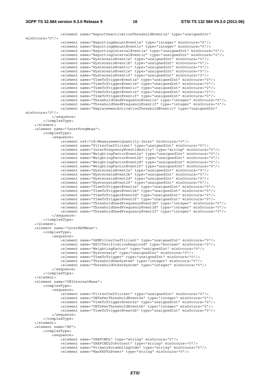```
 <element name="ReportDeactivationThresholdEvent1a" type="unsignedInt" 
minOccurs="0"/> 
                 <element name="ReportingAmountEvent1a" type="integer" minOccurs="0"/> 
                 <element name="ReportingAmountEvent1c" type="integer" minOccurs="0"/> 
                 <element name="ReportingIntervalEvent1a" type="unsignedInt" minOccurs="0"/> 
                 <element name="ReportingIntervalEvent1c" type="unsignedInt" minOccurs="0"/> 
 <element name="HysteresisEvent1a" type="unsignedInt" minOccurs="0"/> 
 <element name="HysteresisEvent1b" type="unsignedInt" minOccurs="0"/> 
                 <element name="HysteresisEvent1c" type="unsignedInt" minOccurs="0"/> 
                 <element name="HysteresisEvent1e" type="unsignedInt" minOccurs="0"/> 
                 <element name="HysteresisEvent1f" type="unsignedInt" minOccurs="0"/> 
 <element name="TimeToTriggerEvent1a" type="unsignedInt" minOccurs="0"/> 
 <element name="TimeToTriggerEvent1b" type="unsignedInt" minOccurs="0"/> 
                 <element name="TimeToTriggerEvent1c" type="unsignedInt" minOccurs="0"/> 
 <element name="TimeToTriggerEvent1e" type="unsignedInt" minOccurs="0"/> 
 <element name="TimeToTriggerEvent1f" type="unsignedInt" minOccurs="0"/> 
 <element name="ThresholdUsedFrequencyEvent1e" type="integer" minOccurs="0"/> 
 <element name="ThresholdUsedFrequencyEvent1f" type="integer" minOccurs="0"/> 
                 <element name="ReplacementActivationThresholdEvent1c" type="unsignedInt" 
minOccurs="0"/> 
            </sequence> 
         </complexType> 
     </element> 
     <element name="InterFreqMeas"> 
         <complexType> 
             <sequence> 
                 <element ref="cd:MeasurementQuantity-Inter" minOccurs="0"/> 
                 <element name="FilterCoefficient" type="unsignedInt" minOccurs="0"/> 
                 <element name="InterFrequencyEventIdentity" type="string" minOccurs="0"/> 
                 <element name="WeightingFactorEvent2a" type="unsignedInt" minOccurs="0"/> 
                 <element name="WeightingFactorEvent2b" type="unsignedInt" minOccurs="0"/> 
                 <element name="WeightingFactorEvent2d" type="unsignedInt" minOccurs="0"/> 
                 <element name="WeightingFactorEvent2f" type="unsignedInt" minOccurs="0"/> 
                 <element name="HysteresisEvent2a" type="unsignedInt" minOccurs="0"/> 
                 <element name="HysteresisEvent2b" type="unsignedInt" minOccurs="0"/> 
 <element name="HysteresisEvent2d" type="unsignedInt" minOccurs="0"/> 
 <element name="HysteresisEvent2f" type="unsignedInt" minOccurs="0"/> 
 <element name="TimeToTriggerEvent2a" type="unsignedInt" minOccurs="0"/> 
 <element name="TimeToTriggerEvent2b" type="unsignedInt" minOccurs="0"/> 
                 <element name="TimeToTriggerEvent2d" type="unsignedInt" minOccurs="0"/> 
                 <element name="TimeToTriggerEvent2f" type="unsignedInt" minOccurs="0"/> 
                 <element name="ThresholdUsedFrequencyEvent2b" type="integer" minOccurs="0"/> 
                 <element name="ThresholdUsedFrequencyEvent2d" type="integer" minOccurs="0"/> 
                 <element name="ThresholdUsedFrequencyEvent2f" type="integer" minOccurs="0"/> 
             </sequence> 
         </complexType> 
     </element> 
     <element name="InterRATMeas"> 
         <complexType> 
             <sequence> 
                -<br>-<element name="GSMFilterCoefficient" type="unsignedInt" minOccurs="0"/>
                 <element name="BSICVerificationRequired" type="boolean" minOccurs="0"/> 
                 <element name="WeightingFactor" type="unsignedInt" minOccurs="0"/> 
                 <element name="Hysteresis" type="unsignedInt" minOccurs="0"/> 
                 <element name="TimeToTrigger" type="unsignedInt" minOccurs="0"/> 
                 <element name="ThresholdOwnSystem" type="integer" minOccurs="0"/> 
                 <element name="ThresholdOtherSystem" type="integer" minOccurs="0"/> 
             </sequence> 
         </complexType> 
    \epsilon/element>
     <element name="UEInternalMeas"> 
         <complexType> 
             <sequence> 
                 <element name="FilterCoefficient" type="unsignedInt" minOccurs="0"/> 
                 <element name="UETxPwrThresholdEvent6a" type="integer" minOccurs="0"/> 
                 <element name="TimeToTriggerEvent6a" type="unsignedInt" minOccurs="0"/> 
                 <element name="UETxPwrThresholdEvent6b" type="integer" minOccurs="0"/> 
                 <element name="TimeToTriggerEvent6b" type="unsignedInt" minOccurs="0"/> 
             </sequence> 
         </complexType> 
     </element> 
     <element name="RF"> 
        <complexType> 
             <sequence> 
                 <element name="UARFCNDL" type="string" minOccurs="0"/> 
                 <element name="UARFCNDLToProtect" type="string" minOccurs="0"/> 
                 <element name="PrimaryScramblingCode" type="string" minOccurs="0"/> 
                 <element name="MaxFAPTxPower" type="string" minOccurs="0"/>
```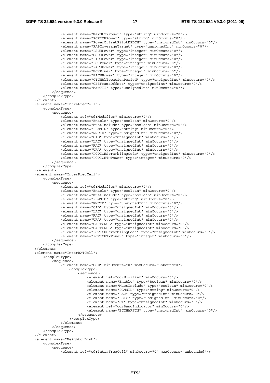```
 <element name="MaxULTxPower" type="string" minOccurs="0"/> 
                 <element name="PCPICHPower" type="string" minOccurs="0"/> 
                 <element name="PowerOffsetPilotDPDCH" type="unsignedInt" minOccurs="0"/> 
                 <element name="FAPCoverageTarget" type="unsignedInt" minOccurs="0"/> 
                 <element name="PSCHPower" type="integer" minOccurs="0"/> 
                 <element name="SSCHPower" type="integer" minOccurs="0"/> 
                 <element name="PICHPower" type="integer" minOccurs="0"/> 
                 <element name="PCHPower" type="integer" minOccurs="0"/> 
                 <element name="FACHPower" type="integer" minOccurs="0"/> 
                 <element name="BCHPower" type="integer" minOccurs="0"/> 
                 <element name="AICHPower" type="integer" minOccurs="0"/> 
 <element name="CTCHAllocationPeriod" type="unsignedInt" minOccurs="0"/> 
 <element name="CBSFrameOffset" type="unsignedInt" minOccurs="0"/> 
                 <element name="MaxTTI" type="unsignedInt" minOccurs="0"/> 
             </sequence> 
         </complexType> 
    </element> 
     <element name="IntraFreqCell"> 
         <complexType> 
             <sequence> 
                .<br><element ref="cd:Modifier" minOccurs="0"/>
                 <element name="Enable" type="boolean" minOccurs="0"/> 
                 <element name="MustInclude" type="boolean" minOccurs="0"/> 
                 <element name="PLMNID" type="string" minOccurs="0"/> 
                 <element name="RNCID" type="unsignedInt" minOccurs="0"/> 
                 <element name="CID" type="unsignedInt" minOccurs="0"/> 
                 <element name="LAC" type="unsignedInt" minOccurs="0"/> 
                 <element name="RAC" type="unsignedInt" minOccurs="0"/> 
                 <element name="URA" type="unsignedInt" minOccurs="0"/> 
                 <element name="PCPICHScramblingCode" type="unsignedInt" minOccurs="0"/> 
                 <element name="PCPICHTxPower" type="integer" minOccurs="0"/> 
             </sequence> 
         </complexType> 
     </element> 
     <element name="InterFreqCell"> 
        <complexType> 
             <sequence> 
                 <element ref="cd:Modifier" minOccurs="0"/> 
                 <element name="Enable" type="boolean" minOccurs="0"/> 
                 <element name="MustInclude" type="boolean" minOccurs="0"/> 
                 <element name="PLMNID" type="string" minOccurs="0"/> 
                 <element name="RNCID" type="unsignedInt" minOccurs="0"/> 
                 <element name="CID" type="unsignedInt" minOccurs="0"/> 
                 <element name="LAC" type="unsignedInt" minOccurs="0"/> 
                 <element name="RAC" type="unsignedInt" minOccurs="0"/> 
                 <element name="URA" type="unsignedInt" minOccurs="0"/> 
                 <element name="UARFCNUL" type="unsignedInt" minOccurs="0"/> 
                 <element name="UARFCNDL" type="unsignedInt" minOccurs="0"/> 
                 <element name="PCPICHScramblingCode" type="unsignedInt" minOccurs="0"/> 
                 <element name="PCPICHTxPower" type="integer" minOccurs="0"/> 
             </sequence> 
         </complexType> 
     </element> 
     <element name="InterRATCell"> 
         <complexType> 
             <sequence> 
                 <element name="GSM" minOccurs="0" maxOccurs="unbounded"> 
                     <complexType> 
                         <sequence> 
                             -<br><element ref="cd:Modifier" minOccurs="0"/>
                              <element name="Enable" type="boolean" minOccurs="0"/> 
                              <element name="MustInclude" type="boolean" minOccurs="0"/> 
                              <element name="PLMNID" type="string" minOccurs="0"/> 
                              <element name="LAC" type="unsignedInt" minOccurs="0"/> 
                              <element name="BSIC" type="unsignedInt" minOccurs="0"/> 
                              <element name="CI" type="unsignedInt" minOccurs="0"/> 
                              <element ref="cd:BandIndicator" minOccurs="0"/> 
                              <element name="BCCHARFCN" type="unsignedInt" minOccurs="0"/> 
                         </sequence> 
                      </complexType> 
                 </element> 
             </sequence> 
         </complexType> 
    </element> 
     <element name="NeighborList"> 
         <complexType> 
             <sequence> 
                .<br><element ref="cd:IntraFreqCell" minOccurs="0" maxOccurs="unbounded"/>
```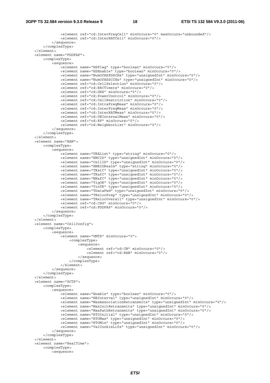```
 <element ref="cd:InterFreqCell" minOccurs="0" maxOccurs="unbounded"/> 
             <element ref="cd:InterRATCell" minOccurs="0"/> 
         </sequence> 
     </complexType> 
 </element> 
 <element name="FDDFAP"> 
     <complexType> 
         <sequence> 
             <element name="HSFlag" type="boolean" minOccurs="0"/> 
              <element name="HSEnable" type="boolean" minOccurs="0"/> 
             <element name="NumOfHSPDSCHs" type="unsignedInt" minOccurs="0"/> 
             <element name="NumOfHSSCCHs" type="unsignedInt" minOccurs="0"/> 
             <element ref="cd:CellSelection" minOccurs="0"/> 
              <element ref="cd:RRCTimers" minOccurs="0"/> 
              <element ref="cd:DRX" minOccurs="0"/> 
              <element ref="cd:PowerControl" minOccurs="0"/> 
              <element ref="cd:CellRestriction" minOccurs="0"/> 
              <element ref="cd:IntraFreqMeas" minOccurs="0"/> 
              <element ref="cd:InterFreqMeas" minOccurs="0"/> 
              <element ref="cd:InterRATMeas" minOccurs="0"/> 
             <element ref="cd:UEInternalMeas" minOccurs="0"/> 
             <element ref="cd:RF" minOccurs="0"/> 
              <element ref="cd:NeighborList" minOccurs="0"/> 
         </sequence> 
     </complexType> 
 </element> 
 <element name="RAN"> 
     <complexType> 
         <sequence> 
            -<br><element name="URAList" type="string" minOccurs="0"/>
              <element name="RNCID" type="unsignedInt" minOccurs="0"/> 
              <element name="CellID" type="unsignedInt" minOccurs="0"/> 
             <element name="HNBIDRealm" type="string" minOccurs="0"/> 
             <element name="TRatC" type="unsignedInt" minOccurs="0"/> 
              <element name="TRafC" type="unsignedInt" minOccurs="0"/> 
              <element name="NRafC" type="unsignedInt" minOccurs="0"/> 
             <element name="TigOR" type="unsignedInt" minOccurs="0"/> 
             <element name="TinTR" type="unsignedInt" minOccurs="0"/> 
             <element name="TDataFwd" type="unsignedInt" minOccurs="0"/> 
              <element name="TRelocPrep" type="unsignedInt" minOccurs="0"/> 
              <element name="TRelocOverall" type="unsignedInt" minOccurs="0"/> 
             <element ref="cd:CSG" minOccurs="0"/> 
              <element ref="cd:FDDFAP" minOccurs="0"/> 
         </sequence> 
     </complexType> 
 </element> 
 <element name="CellConfig"> 
     <complexType> 
         <sequence> 
             <element name="UMTS" minOccurs="0"> 
                  <complexType> 
                      <sequence> 
                         .<br><element ref="cd:CN" minOccurs="0"/>
                           <element ref="cd:RAN" minOccurs="0"/> 
                      </sequence> 
                  </complexType> 
             </element> 
         </sequence> 
     </complexType> 
\epsilon/element>
 <element name="SCTP"> 
     <complexType> 
         <sequence> 
             <element name="Enable" type="boolean" minOccurs="0"/> 
              <element name="HBInterval" type="unsignedInt" minOccurs="0"/> 
             <element name="MaxAssociationRetransmits" type="unsignedInt" minOccurs="0"/> 
              <element name="MaxInitRetransmits" type="unsignedInt" minOccurs="0"/> 
             <element name="MaxPathRetransmits" type="unsignedInt" minOccurs="0"/> 
             <element name="RTOInitial" type="unsignedInt" minOccurs="0"/> 
              <element name="RTOMax" type="unsignedInt" minOccurs="0"/> 
             <element name="RTOMin" type="unsignedInt" minOccurs="0"/> 
             <element name="ValCookieLife" type="unsignedInt" minOccurs="0"/> 
         </sequence> 
     </complexType> 
 </element> 
 <element name="RealTime"> 
     <complexType> 
         <sequence>
```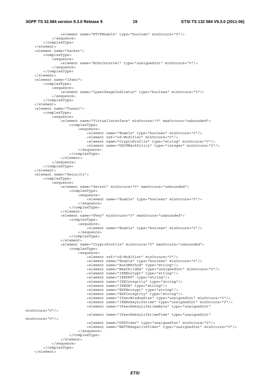### **3GPP TS 32.584 version 9.3.0 Release 9 19 ETSI TS 132 584 V9.3.0 (2011-06)**

```
 <element name="RTCPEnable" type="boolean" minOccurs="0"/> 
              </sequence> 
         </complexType> 
     </element> 
     <element name="Packet"> 
         <complexType> 
              <sequence> 
                  <element name="EchoInterval" type="unsignedInt" minOccurs="0"/> 
              </sequence> 
          </complexType> 
     </element> 
     <element name="IPsec"> 
         <complexType> 
             <sequence> 
                  <element name="IpsecUsageIndicator" type="boolean" minOccurs="0"/> 
             </sequence> 
          </complexType> 
     </element> 
     <element name="Tunnel"> 
         <complexType> 
             <sequence> 
                  <element name="VirtualInterface" minOccurs="0" maxOccurs="unbounded"> 
                      <complexType> 
                           <sequence> 
                               <element name="Enable" type="boolean" minOccurs="0"/> 
                               <element ref="cd:Modifier" minOccurs="0"/> 
                               <element name="CryptoProfile" type="string" minOccurs="0"/> 
                               <element name="DSCPMarkPolicy" type="integer" minOccurs="0"/> 
                           </sequence> 
                      </complexType> 
                  </element> 
              </sequence> 
         </complexType> 
     </element> 
     <element name="Security"> 
         <complexType> 
              <sequence> 
                 .<br><element name="Secret" minOccurs="0" maxOccurs="unbounded">
                      <complexType> 
                           <sequence> 
                               <element name="Enable" type="boolean" minOccurs="0"/> 
                           </sequence> 
                      </complexType> 
                  </element> 
                  <element name="Pkey" minOccurs="0" maxOccurs="unbounded"> 
                      <complexType> 
                           <sequence> 
                               <element name="Enable" type="boolean" minOccurs="0"/> 
                           </sequence> 
                      </complexType> 
                  </element> 
                  <element name="CryptoProfile" minOccurs="0" maxOccurs="unbounded"> 
                      <complexType> 
                           <sequence> 
                               <element ref="cd:Modifier" minOccurs="0"/> 
                               <element name="Enable" type="boolean" minOccurs="0"/> 
                               <element name="AuthMethod" type="string"/> 
                               <element name="MaxChildSA" type="unsignedInt" minOccurs="0"/> 
                               <element name="IKEEncrypt" type="string"/> 
                               <element name="IKEPRF" type="string"/> 
                               <element name="IKEIntegrity" type="string"/> 
                               <element name="IKEDH" type="string"/> 
                               <element name="ESPEncrypt" type="string"/> 
                               <element name="ESPIntegrity" type="string"/> 
                               <element name="IPsecWindowSize" type="unsignedInt" minOccurs="0"/> 
                               <element name="IKERekeyLifetime" type="unsignedInt" minOccurs="0"/> 
                               <element name="IPsecRekeyLifetimeByte" type="unsignedInt" 
minOccurs="0"/> 
                               <element name="IPsecRekeyLifetimeTime" type="unsignedInt" 
minOccurs="0"/> 
                               <element name="DPDTimer" type="unsignedInt" minOccurs="0"/> 
                               <element name="NATTKeepaliveTimer" type="unsignedInt" minOccurs="0"/> 
                           </sequence> 
                      </complexType> 
                  </element> 
              </sequence> 
         </complexType>
```

```
 </element>
```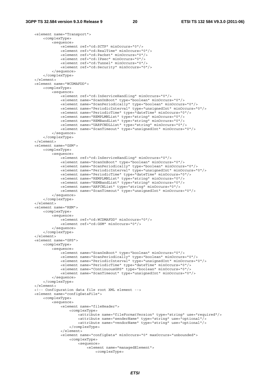<element name="Transport"> <complexType> <sequence> <element ref="cd:SCTP" minOccurs="0"/> <element ref="cd:RealTime" minOccurs="0"/> <element ref="cd:Packet" minOccurs="0"/> <element ref="cd:IPsec" minOccurs="0"/> <element ref="cd:Tunnel" minOccurs="0"/> <element ref="cd:Security" minOccurs="0"/> </sequence> </complexType> </element> <element name="WCDMAFDD"> <complexType> <sequence> <element ref="cd:InServiceHandling" minOccurs="0"/> <element name="ScanOnBoot" type="boolean" minOccurs="0"/> <element name="ScanPeriodically" type="boolean" minOccurs="0"/> <element name="PeriodicInterval" type="unsignedInt" minOccurs="0"/> <element name="PeriodicTime" type="dateTime" minOccurs="0"/> <element name="REMPLMNList" type="string" minOccurs="0"/> <element name="REMBandList" type="string" minOccurs="0"/> <element name="UARFCNDLList" type="string" minOccurs="0"/> <element name="ScanTimeout" type="unsignedInt" minOccurs="0"/> </sequence> </complexType> </element> <element name="GSM"> <complexType> <sequence> <element ref="cd:InServiceHandling" minOccurs="0"/> <element name="ScanOnBoot" type="boolean" minOccurs="0"/> <element name="ScanPeriodically" type="boolean" minOccurs="0"/> <element name="PeriodicInterval" type="unsignedInt" minOccurs="0"/> <element name="PeriodicTime" type="dateTime" minOccurs="0"/> <element name="REMPLMNList" type="string" minOccurs="0"/> <element name="REMBandList" type="string" minOccurs="0"/> <element name="ARFCNList" type="string" minOccurs="0"/> <element name="ScanTimeout" type="unsignedInt" minOccurs="0"/> </sequence> </complexType> </element> <element name="REM"> <complexType> <sequence> <element ref="cd:WCDMAFDD" minOccurs="0"/> <element ref="cd:GSM" minOccurs="0"/> </sequence> </complexType> </element> <element name="GPS"> <complexType> <sequence> <element name="ScanOnBoot" type="boolean" minOccurs="0"/> <element name="ScanPeriodically" type="boolean" minOccurs="0"/> <element name="PeriodicInterval" type="unsignedInt" minOccurs="0"/> <element name="PeriodicTime" type="dateTime" minOccurs="0"/> <element name="ContinuousGPS" type="boolean" minOccurs="0"/> <element name="ScanTimeout" type="unsignedInt" minOccurs="0"/> </sequence> </complexType> </element> <!-- Configuration data file root XML element --> <element name="configDataFile"> <complexType> <sequence> .<br><element name="fileHeader"> <complexType> <attribute name="fileFormatVersion" type="string" use="required"/> <attribute name="senderName" type="string" use="optional"/> <attribute name="vendorName" type="string" use="optional"/> </complexType> </element> <element name="configData" minOccurs="0" maxOccurs="unbounded"> <complexType> <sequence> <element name="managedElement">

<complexType>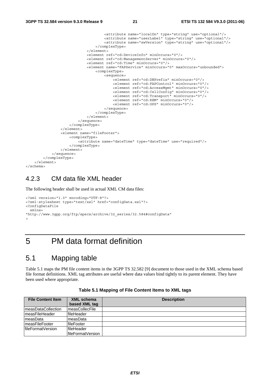```
 <attribute name="localDn" type="string" use="optional"/> 
                                     <attribute name="userLabel" type="string" use="optional"/> 
                                    <attribute name="swVersion" type="string" use="optional"/> 
                                 </complexType> 
                             </element> 
                             <element ref="cd:DeviceInfo" minOccurs="0"/> 
                             <element ref="cd:ManagementServer" minOccurs="0"/> 
                             <element ref="cd:Time" minOccurs="0"/> 
                             <element name="FAPService" minOccurs="0" maxOccurs="unbounded"> 
                                 <complexType> 
                                    <sequence> 
                                         <element ref="cd:DNPrefix" minOccurs="0"/> 
                                         <element ref="cd:FAPControl" minOccurs="0"/> 
                                         <element ref="cd:AccessMgmt" minOccurs="0"/> 
                                         <element ref="cd:CellConfig" minOccurs="0"/> 
                                         <element ref="cd:Transport" minOccurs="0"/> 
 <element ref="cd:REM" minOccurs="0"/> 
 <element ref="cd:GPS" minOccurs="0"/> 
                                     </sequence> 
                                 </complexType> 
                             </element> 
                        </sequence> 
                     </complexType> 
                </element> 
                <element name="fileFooter"> 
                    <complexType> 
                        <attribute name="dateTime" type="dateTime" use="required"/> 
                     </complexType> 
                </element> 
            </sequence> 
         </complexType> 
     </element> 
</schema>
```
### 4.2.3 CM data file XML header

The following header shall be used in actual XML CM data files:

```
<?xml version="1.0" encoding="UTF-8"?> 
<?xml-stylesheet type="text/xsl" href="configData.xsl"?> 
<ConfigDataFile 
  xmlns= 
"http://www.3gpp.org/ftp/specs/archive/32_series/32.584#configData" 
>
```
## 5 PM data format definition

### 5.1 Mapping table

Table 5.1 maps the PM file content items in the 3GPP TS 32.582 [9] document to those used in the XML schema based file format definitions. XML tag attributes are useful where data values bind tightly to its parent element. They have been used where appropriate.

| <b>File Content Item</b> | <b>XML schema</b><br>based XML tag | <b>Description</b> |
|--------------------------|------------------------------------|--------------------|
| ImeasDataCollection      | <b>ImeasCollecFile</b>             |                    |
| ImeasFileHeader          | fileHeader                         |                    |
| ImeasData                | ImeasData                          |                    |
| ImeasFileFooter          | fileFooter                         |                    |
| lfileFormatVersion       | <b>fileHeader</b>                  |                    |
|                          | lfileFormatVersion                 |                    |

**Table 5.1 Mapping of File Content Items to XML tags**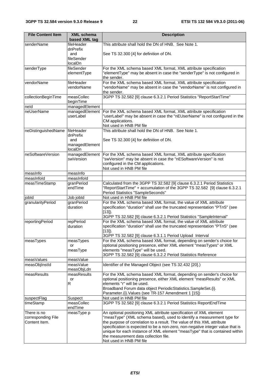| <b>File Content Item</b>            | <b>XML schema</b>       | <b>Description</b>                                                                                                                                |
|-------------------------------------|-------------------------|---------------------------------------------------------------------------------------------------------------------------------------------------|
|                                     | based XML tag           |                                                                                                                                                   |
| senderName                          | fileHeader              | This attribute shall hold the DN of HNB. See Note 1.                                                                                              |
|                                     | dnPrefix                |                                                                                                                                                   |
|                                     | and                     | See TS 32.300 [4] for definition of DN.                                                                                                           |
|                                     | fileSender<br>localDn   |                                                                                                                                                   |
| senderType                          | fileSender              | For the XML schema based XML format, XML attribute specification                                                                                  |
|                                     | elementType             | "elementType" may be absent in case the "senderType" is not configured in                                                                         |
|                                     |                         | the sender.                                                                                                                                       |
| vendorName                          | fileHeader              | For the XML schema based XML format, XML attribute specification                                                                                  |
|                                     | vendorName              | "vendorName" may be absent in case the "vendorName" is not configured in                                                                          |
|                                     |                         | the sender.                                                                                                                                       |
| collectionBeginTime                 | measCollec<br>beginTime | 3GPP TS 32.582 [9] clause 6.3.2.1 Period Statistics "ReportStartTime"                                                                             |
| neld                                | managedElement          |                                                                                                                                                   |
| neUserName                          | managedElement          | For the XML schema based XML format, XML attribute specification                                                                                  |
|                                     | userLabel               | "userLabel" may be absent in case the "nEUserName" is not configured in the                                                                       |
|                                     |                         | CM applications.                                                                                                                                  |
|                                     |                         | Not used in HNB PM file                                                                                                                           |
| neDistinguishedName                 | fileHeader              | This attribute shall hold the DN of HNB. See Note 1.                                                                                              |
|                                     | dnPrefix<br>and         | See TS 32.300 [4] for definition of DN.                                                                                                           |
|                                     | managedElement          |                                                                                                                                                   |
|                                     | localDn                 |                                                                                                                                                   |
| neSoftwareVersion                   | managedElement          | For the XML schema based XML format, XML attribute specification                                                                                  |
|                                     | swVersion               | "swVersion" may be absent in case the "nESoftwareVersion" is not                                                                                  |
|                                     |                         | configured in the CM applications.                                                                                                                |
|                                     |                         | Not used in HNB PM file                                                                                                                           |
| measInfo<br>measInfold              | measInfo<br>measInfold  |                                                                                                                                                   |
| measTimeStamp                       | granPeriod              | Calculated from the 3GPP TS 32.582 [9] clause 6.3.2.1 Period Statistics                                                                           |
|                                     | endTime                 | "ReportStartTime" + accumulation of the 3GPP TS 32.582 [9] clause 6.3.2.1                                                                         |
|                                     |                         | Period Statistics "SampleSeconds"                                                                                                                 |
| jobld                               | Job jobld               | Not used in HNB PM file                                                                                                                           |
| granularityPeriod                   | granPeriod              | For the XML schema based XML format, the value of XML attribute                                                                                   |
|                                     | duration                | specification "duration" shall use the truncated representation "PTnS" (see                                                                       |
|                                     |                         | $[13]$ ).<br>3GPP TS 32.582 [9] clause 6.3.2.1 Period Statistics "SampleInterval"                                                                 |
| reportingPeriod                     | repPeriod               | For the XML schema based XML format, the value of XML attribute                                                                                   |
|                                     | duration                | specification "duration" shall use the truncated representation "PTnS" (see                                                                       |
|                                     |                         | $[13]$ ).                                                                                                                                         |
|                                     |                         | 3GPP TS 32.582 [9] clause 6.3.1.1 Period Upload Interval                                                                                          |
| measTypes                           | measTypes               | For the XML schema based XML format, depending on sender's choice for                                                                             |
|                                     | or                      | optional positioning presence, either XML element "measTypes" or XML<br>elements "measType" will be used.                                         |
|                                     | measType                | 3GPP TS 32.582 [9] clause 6.3.2.2 Period Statistics Reference                                                                                     |
| measValues                          | measValue               |                                                                                                                                                   |
| measObjInstId                       | measValue               | Identifier of the Managed Object (see TS 32.432 [20].)                                                                                            |
|                                     | measObjLdn              |                                                                                                                                                   |
| measResults                         | measResults             | For the XML schema based XML format, depending on sender's choice for                                                                             |
|                                     | or<br>R                 | optional positioning presence, either XML element "measResults" or XML<br>elements "r" will be used.                                              |
|                                     |                         | Broadband Forum data object PeriodicStatistics.SampleSet.{i}.                                                                                     |
|                                     |                         | Parameter. {i}. Values (see TR-157 Amendment 1 [15])                                                                                              |
| suspectFlag                         | Suspect                 | Not used in HNB PM file                                                                                                                           |
| timeStamp                           | measCollec              | 3GPP TS 32.582 [9] clause 6.3.2.1 Period Statistics ReportEndTime                                                                                 |
|                                     | endTime                 |                                                                                                                                                   |
| There is no                         | measType p              | An optional positioning XML attribute specification of XML element                                                                                |
| corresponding File<br>Content Item. |                         | "measType" (XML schema based), used to identify a measurement type for<br>the purpose of correlation to a result. The value of this XML attribute |
|                                     |                         | specification is expected to be a non-zero, non-negative integer value that is                                                                    |
|                                     |                         | unique for each instance of XML element "measType" that is contained within                                                                       |
|                                     |                         | the measurement data collection file.                                                                                                             |
|                                     |                         | Not used in HNB PM file                                                                                                                           |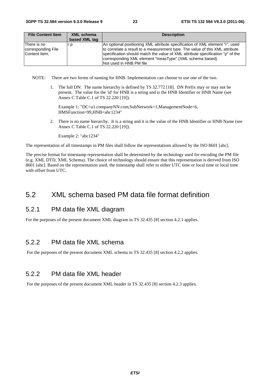| <b>File Content Item</b>                           | <b>XML schema</b> | <b>Description</b>                                                                                                                                                                                                                                                                                                                     |
|----------------------------------------------------|-------------------|----------------------------------------------------------------------------------------------------------------------------------------------------------------------------------------------------------------------------------------------------------------------------------------------------------------------------------------|
|                                                    | based XML tag     |                                                                                                                                                                                                                                                                                                                                        |
| There is no<br>corresponding File<br>Content Item. | r p               | An optional positioning XML attribute specification of XML element "r", used<br>to correlate a result to a measurement type. The value of this XML attribute<br>specification should match the value of XML attribute specification "p" of the<br>corresponding XML element "measType" (XML schema based).<br>INot used in HNB PM file |

NOTE: There are two forms of naming for HNB. Implementation can choose to use one of the two.

1. The full DN: The name hierarchy is defined by TS 32.772 [18]. DN Prefix may or may not be present. The value for the 'id' for HNB is a string and is the HNB Identifier or HNB Name (see Annex C Table C.1 of TS 22.220 [19]).

Example 1: "DC=a1.companyNN.com,SubNetwork=1,ManagementNode=6, HMSFunction=99,HNB=abc1234"

2. There is no name hierarchy. It is a string and it is the value of the HNB Identifier or HNB Name (see Annex C Table C.1 of TS 22.220 [19]).

Example 2: "abc1234"

The representation of all timestamps in PM files shall follow the representations allowed by the ISO 8601 [abc].

The precise format for timestamp representation shall be determined by the technology used for encoding the PM file (e.g. XML DTD, XML Schema). The choice of technology should ensure that this representation is derived from ISO 8601 [abc]. Based on the representation used, the timestamp shall refer to either UTC time or local time or local time with offset from UTC.

### 5.2 XML schema based PM data file format definition

### 5.2.1 PM data file XML diagram

For the purposes of the present document XML diagram in TS 32.435 [8] section 4.2.1 applies.

### 5.2.2 PM data file XML schema

For the purposes of the present document XML schema in TS 32.435 [8] section 4.2.2 applies.

### 5.2.2 PM data file XML header

For the purposes of the present document XML header in TS 32.435 [8] section 4.2.3 applies.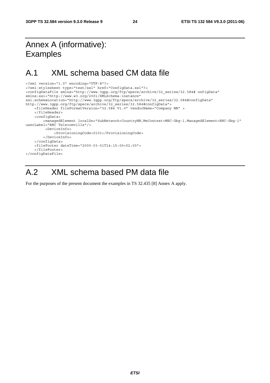## Annex A (informative): Examples

### A.1 XML schema based CM data file

```
<?xml version="1.0" encoding="UTF-8"?> 
<?xml-stylesheet type="text/xsl" href="ConfigData.xsl"?> 
<configDataFile xmlns="http://www.3gpp.org/ftp/specs/archive/32_series/32.584# onfigData" 
xmlns:xsi="http://www.w3.org/2001/XMLSchema-instance" 
xsi:schemaLocation="http://www.3gpp.org/ftp/specs/archive/32_series/32.584#configData" 
http://www.3gpp.org/ftp/specs/archive/32_series/32.584#configData"> 
     <fileHeader fileFormatVersion="32.584 V1.0" vendorName="Company NN" > 
     </fileHeader> 
     <configData> 
         <managedElement localDn="SubNetwork=CountryNN,MeContext=MEC-Gbg-1,ManagedElement=RNC-Gbg-1" 
userLabel="RNC Telecomville"/> 
          <DeviceInfo> 
              <ProvisioningCode>0101</ProvisioningCode> 
         </DeviceInfo> 
     </configData> 
     <fileFooter dateTime="2000-03-01T14:15:00+02:00"> 
     </fileFooter> 
</configDataFile>
```
## A.2 XML schema based PM data file

For the purposes of the present document the examples in TS 32.435 [8] Annex A apply.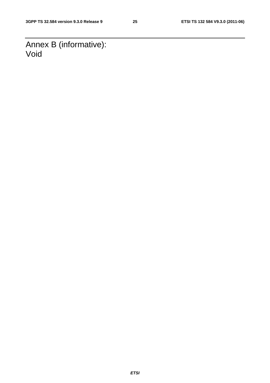Annex B (informative): Void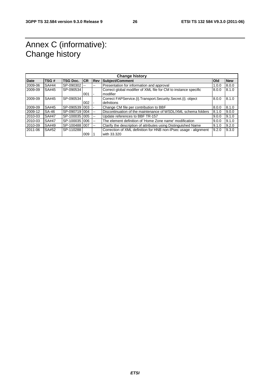## Annex C (informative): Change history

| <b>Change history</b> |              |                 |           |                |                                                                   |            |            |
|-----------------------|--------------|-----------------|-----------|----------------|-------------------------------------------------------------------|------------|------------|
| <b>Date</b>           | TSG#         | <b>TSG Doc.</b> | <b>CR</b> | <b>Rev</b>     | Subject/Comment                                                   | <b>Old</b> | <b>New</b> |
| 2009-06               | SA#44        | $SP-090302$     |           | --             | Presentation for information and approval                         | 1.0.0      | 8.0.0      |
| 2009-09               | SA#45        | SP-090534       |           |                | Correct global modifier of XML file for CM to instance specific   | 8.0.0      | 8.1.0      |
|                       |              |                 | 001       | $\blacksquare$ | modifier                                                          |            |            |
| 2009-09               | SA#45        | SP-090534       |           |                | Correct FAPService. (i). Transport. Security. Secret. (i). object | 8.0.0      | 8.1.0      |
|                       |              |                 | 002       |                | defnitions                                                        |            |            |
| 2009-09               | SA#45        | SP-0905391003   |           |                | Change CM file per contribution to BBF                            | 8.0.0      | 8.1.0      |
| 2009-12               | <b>SA-46</b> | SP-090719 004   |           | --             | Discontinuation of the maintenance of WSDL/XML schema folders     | 8.1.0      | 9.0.0      |
| 2010-03               | SA#47        | SP-100035 005   |           | --             | Update references to BBF TR-157                                   | 9.0.0      | 9.1.0      |
| 2010-03               | SA#47        | SP-1000351006   |           | --             | The element definition of 'Home Zone name' modification           | 9.0.0      | 9.1.0      |
| 2010-09               | SA#49        | SP-1004881007   |           | $-$            | Clarify the description of attributes using Distinguished Name    | 9.1.0      | 9.2.0      |
| 2011-06               | SA#52        | SP-110288       |           |                | Correction of XML definition for HNB non-IPsec usage - alignment  | 9.2.0      | 9.3.0      |
|                       |              |                 | 009       |                | with 33.320                                                       |            |            |